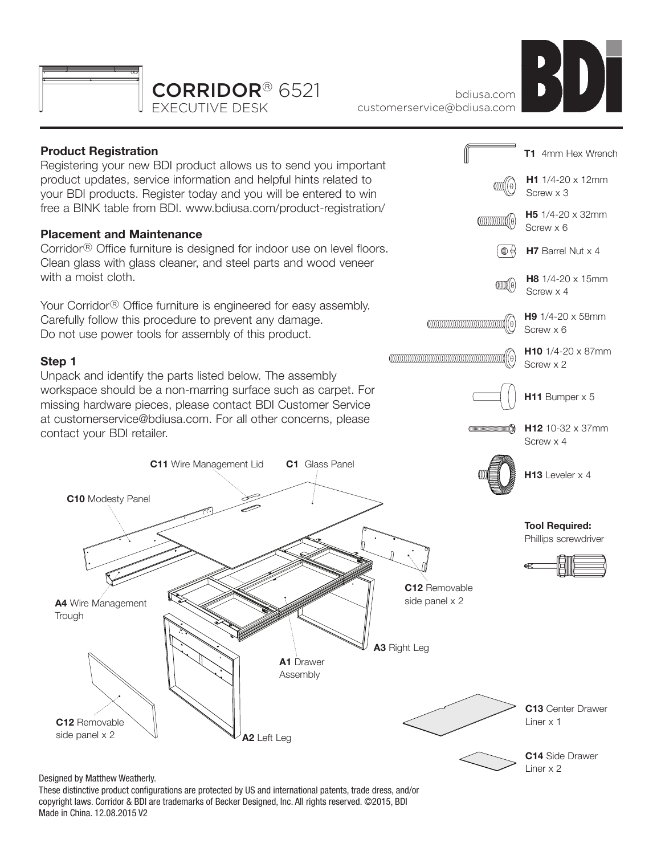



bdiusa.com customerservice@bdiusa.com

# **Product Registration**

Registering your new BDI product allows us to send you important product updates, service information and helpful hints related to your BDI products. Register today and you will be entered to win free a BINK table from BDI. www.bdiusa.com/product-registration/

## **Placement and Maintenance**

Corridor® Office furniture is designed for indoor use on level floors. Clean glass with glass cleaner, and steel parts and wood veneer with a moist cloth.

Your Corridor® Office furniture is engineered for easy assembly. Carefully follow this procedure to prevent any damage. Do not use power tools for assembly of this product.

## **Step 1**

Unpack and identify the parts listed below. The assembly workspace should be a non-marring surface such as carpet. For missing hardware pieces, please contact BDI Customer Service at customerservice@bdiusa.com. For all other concerns, please contact your BDI retailer.

**C11** Wire Management Lid





**C14** Side Drawer Liner x 2

#### Designed by Matthew Weatherly.

**C12** Removable side panel x 2

**Trough** 

**C10** Modesty Panel

These distinctive product configurations are protected by US and international patents, trade dress, and/or copyright laws. Corridor & BDI are trademarks of Becker Designed, Inc. All rights reserved. ©2015, BDI Made in China. 12.08.2015 V2

**A1** Drawer Assembly

**A2** Left Leg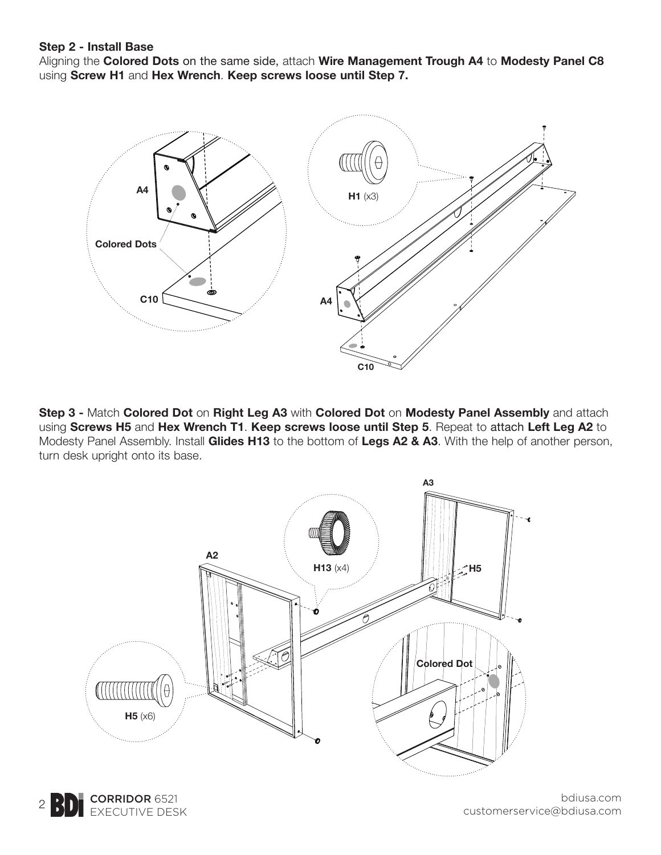#### **Step 2 - Install Base**

Aligning the **Colored Dots** on the same side, attach **Wire Management Trough A4** to **Modesty Panel C8** using **Screw H1** and **Hex Wrench**. **Keep screws loose until Step 7.**



**Step 3 -** Match **Colored Dot** on **Right Leg A3** with **Colored Dot** on **Modesty Panel Assembly** and attach using **Screws H5** and **Hex Wrench T1**. **Keep screws loose until Step 5**. Repeat to attach **Left Leg A2** to Modesty Panel Assembly. Install **Glides H13** to the bottom of **Legs A2 & A3**. With the help of another person, turn desk upright onto its base.



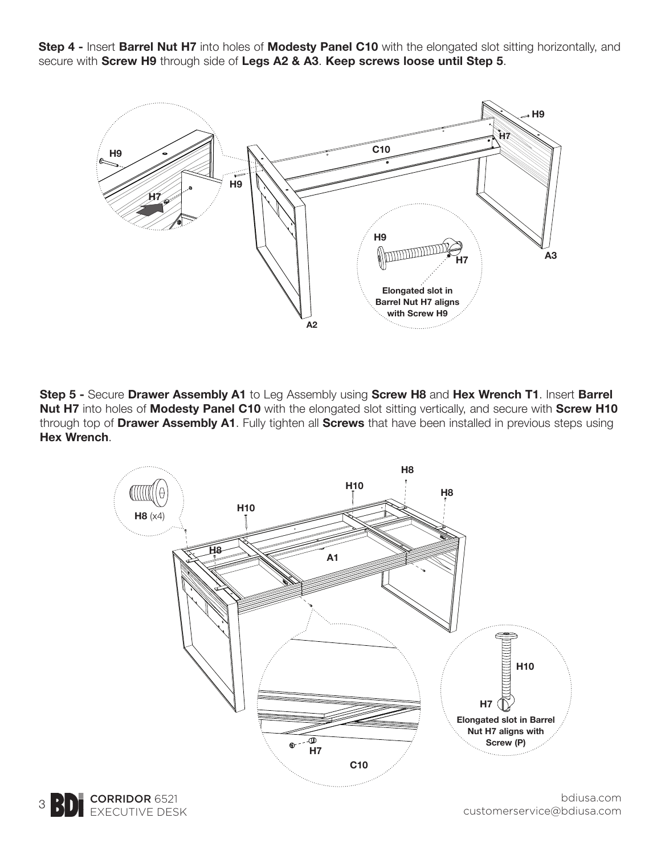**Step 4 -** Insert **Barrel Nut H7** into holes of **Modesty Panel C10** with the elongated slot sitting horizontally, and secure with **Screw H9** through side of **Legs A2 & A3**. **Keep screws loose until Step 5**.



**Step 5 -** Secure **Drawer Assembly A1** to Leg Assembly using **Screw H8** and **Hex Wrench T1**. Insert **Barrel Nut H7** into holes of **Modesty Panel C10** with the elongated slot sitting vertically, and secure with **Screw H10**  through top of **Drawer Assembly A1**. Fully tighten all **Screws** that have been installed in previous steps using **Hex Wrench**.



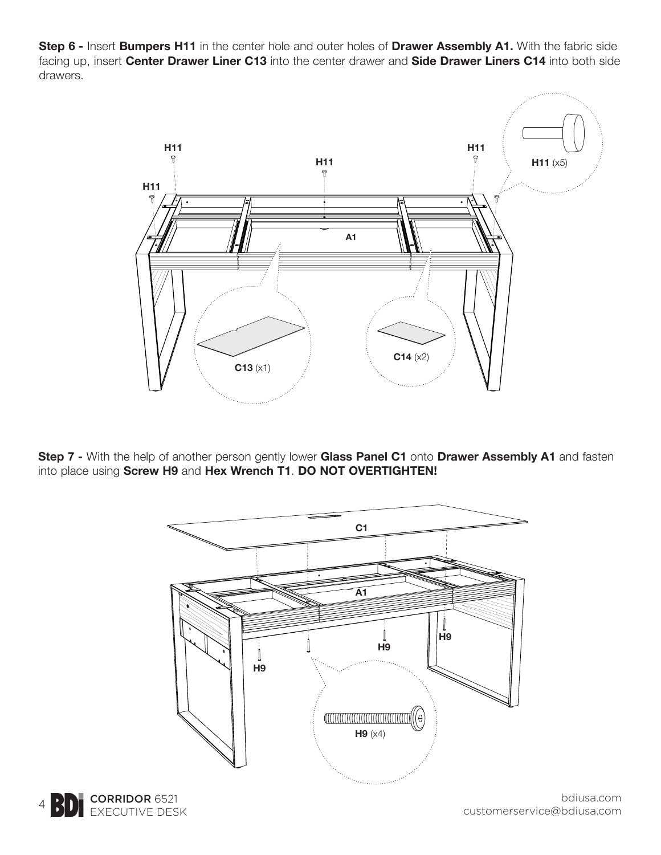**Step 6 -** Insert **Bumpers H11** in the center hole and outer holes of **Drawer Assembly A1.** With the fabric side facing up, insert **Center Drawer Liner C13** into the center drawer and **Side Drawer Liners C14** into both side drawers.



**Step 7 -** With the help of another person gently lower **Glass Panel C1** onto **Drawer Assembly A1** and fasten into place using **Screw H9** and **Hex Wrench T1**. **DO NOT OVERTIGHTEN!**